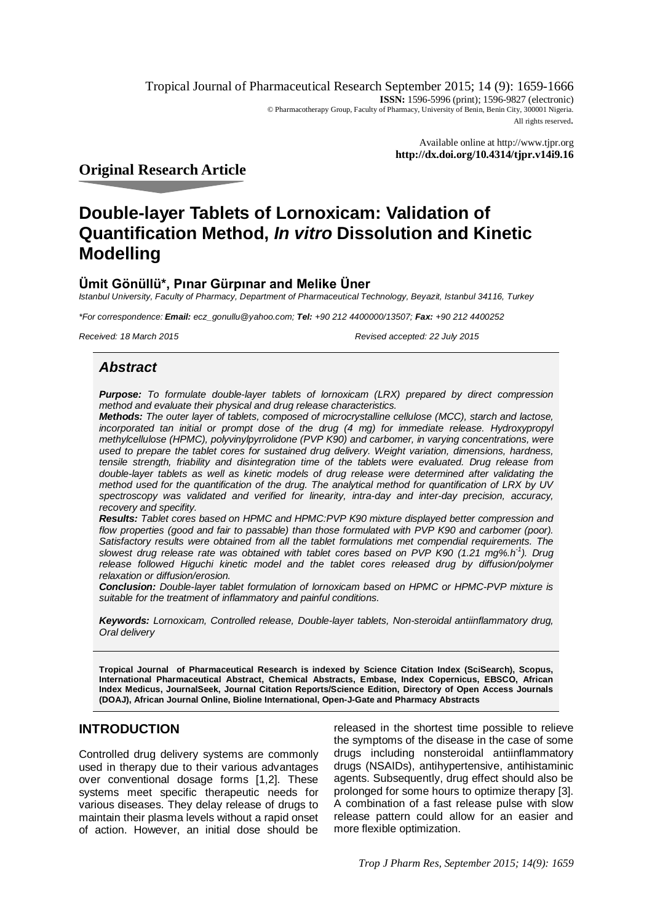Tropical Journal of Pharmaceutical Research September 2015; 14 (9): 1659-1666 **ISSN:** 1596-5996 (print); 1596-9827 (electronic) © Pharmacotherapy Group, Faculty of Pharmacy, University of Benin, Benin City, 300001 Nigeria. All rights reserved.

> Available online at <http://www.tjpr.org> **<http://dx.doi.org/10.4314/tjpr.v14i9.16>**

**Original Research Article**

# **Double-layer Tablets of Lornoxicam: Validation of Quantification Method,** *In vitro* **Dissolution and Kinetic Modelling**

## **Ümit Gönüllü\*, Pınar Gürpınar and Melike Üner**

*Istanbul University, Faculty of Pharmacy, Department of Pharmaceutical Technology, Beyazit, Istanbul 34116, Turkey*

*\*For correspondence: Email: [ecz\\_gonullu@yahoo.com;](mailto:ecz_gonullu@yahoo.com;) Tel: +90 212 4400000/13507; Fax: +90 212 4400252*

*Received: 18 March 2015 Revised accepted: 22 July 2015*

## *Abstract*

*Purpose: To formulate double-layer tablets of lornoxicam (LRX) prepared by direct compression method and evaluate their physical and drug release characteristics.* 

*Methods: The outer layer of tablets, composed of microcrystalline cellulose (MCC), starch and lactose,*  incorporated tan initial or prompt dose of the drug (4 mg) for immediate release. Hydroxypropyl *methylcellulose (HPMC), polyvinylpyrrolidone (PVP K90) and carbomer, in varying concentrations, were used to prepare the tablet cores for sustained drug delivery. Weight variation, dimensions, hardness, tensile strength, friability and disintegration time of the tablets were evaluated. Drug release from double-layer tablets as well as kinetic models of drug release were determined after validating the method used for the quantification of the drug. The analytical method for quantification of LRX by UV spectroscopy was validated and verified for linearity, intra-day and inter-day precision, accuracy, recovery and specifity.*

*Results: Tablet cores based on HPMC and HPMC:PVP K90 mixture displayed better compression and*  flow properties (good and fair to passable) than those formulated with PVP K90 and carbomer (poor). *Satisfactory results were obtained from all the tablet formulations met compendial requirements. The slowest drug release rate was obtained with tablet cores based on PVP K90 (1.21 mg%.h-1 ). Drug release followed Higuchi kinetic model and the tablet cores released drug by diffusion/polymer relaxation or diffusion/erosion.*

*Conclusion: Double-layer tablet formulation of lornoxicam based on HPMC or HPMC-PVP mixture is suitable for the treatment of inflammatory and painful conditions.*

*Keywords: Lornoxicam, Controlled release, Double-layer tablets, Non-steroidal antiinflammatory drug, Oral delivery*

**Tropical Journal of Pharmaceutical Research is indexed by Science Citation Index (SciSearch), Scopus, International Pharmaceutical Abstract, Chemical Abstracts, Embase, Index Copernicus, EBSCO, African Index Medicus, JournalSeek, Journal Citation Reports/Science Edition, Directory of Open Access Journals (DOAJ), African Journal Online, Bioline International, Open-J-Gate and Pharmacy Abstracts**

## **INTRODUCTION**

Controlled drug delivery systems are commonly used in therapy due to their various advantages over conventional dosage forms [1,2]. These systems meet specific therapeutic needs for various diseases. They delay release of drugs to maintain their plasma levels without a rapid onset of action. However, an initial dose should be

released in the shortest time possible to relieve the symptoms of the disease in the case of some drugs including nonsteroidal antiinflammatory drugs (NSAIDs), antihypertensive, antihistaminic agents. Subsequently, drug effect should also be prolonged for some hours to optimize therapy [3]. A combination of a fast release pulse with slow release pattern could allow for an easier and more flexible optimization.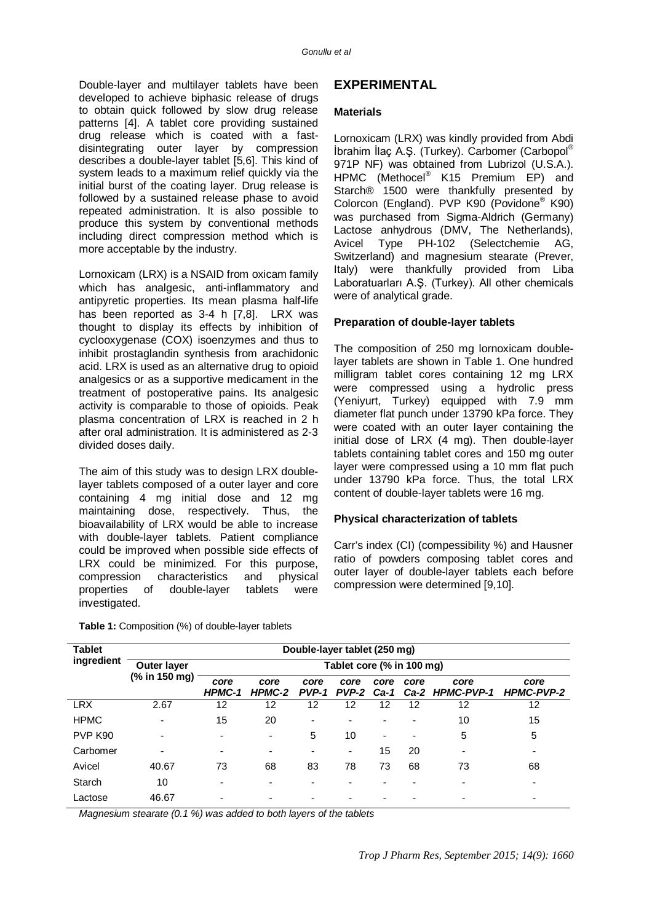Double-layer and multilayer tablets have been developed to achieve biphasic release of drugs to obtain quick followed by slow drug release patterns [4]. A tablet core providing sustained drug release which is coated with a fastdisintegrating outer layer by compression describes a double-layer tablet [5,6]. This kind of system leads to a maximum relief quickly via the initial burst of the coating layer. Drug release is followed by a sustained release phase to avoid repeated administration. It is also possible to produce this system by conventional methods including direct compression method which is more acceptable by the industry.

Lornoxicam (LRX) is a NSAID from oxicam family which has analgesic, anti-inflammatory and antipyretic properties. Its mean plasma half-life has been reported as 3-4 h [7,8]. LRX was thought to display its effects by inhibition of cyclooxygenase (COX) isoenzymes and thus to inhibit prostaglandin synthesis from arachidonic acid. LRX is used as an alternative drug to opioid analgesics or as a supportive medicament in the treatment of postoperative pains. Its analgesic activity is comparable to those of opioids. Peak plasma concentration of LRX is reached in 2 h after oral administration. It is administered as 2-3 divided doses daily.

The aim of this study was to design LRX doublelayer tablets composed of a outer layer and core containing 4 mg initial dose and 12 mg maintaining dose, respectively. Thus, the bioavailability of LRX would be able to increase with double-layer tablets. Patient compliance could be improved when possible side effects of LRX could be minimized. For this purpose, compression characteristics and physical properties of double-layer tablets were investigated.

## **EXPERIMENTAL**

#### **Materials**

Lornoxicam (LRX) was kindly provided from Abdi İbrahim İlaç A.Ş. (Turkey). Carbomer (Carbopol® 971P NF) was obtained from Lubrizol (U.S.A.). HPMC (Methocel® K15 Premium EP) and Starch® 1500 were thankfully presented by Colorcon (England). PVP K90 (Povidone® K90) was purchased from Sigma-Aldrich (Germany) Lactose anhydrous (DMV, The Netherlands), Avicel Type PH-102 (Selectchemie AG, Switzerland) and magnesium stearate (Prever, Italy) were thankfully provided from Liba Laboratuarları A.Ş. (Turkey). All other chemicals were of analytical grade.

#### **Preparation of double-layer tablets**

The composition of 250 mg lornoxicam doublelayer tablets are shown in Table 1. One hundred milligram tablet cores containing 12 mg LRX were compressed using a hydrolic press (Yeniyurt, Turkey) equipped with 7.9 mm diameter flat punch under 13790 kPa force. They were coated with an outer layer containing the initial dose of LRX (4 mg). Then double-layer tablets containing tablet cores and 150 mg outer layer were compressed using a 10 mm flat puch under 13790 kPa force. Thus, the total LRX content of double-layer tablets were 16 mg.

#### **Physical characterization of tablets**

Carr's index (CI) (compessibility %) and Hausner ratio of powders composing tablet cores and outer layer of double-layer tablets each before compression were determined [9,10].

| <b>Tablet</b> | Double-layer tablet (250 mg)        |                           |                |               |               |                          |                          |                              |                           |  |
|---------------|-------------------------------------|---------------------------|----------------|---------------|---------------|--------------------------|--------------------------|------------------------------|---------------------------|--|
| ingredient    | <b>Outer layer</b><br>(% in 150 mg) | Tablet core (% in 100 mg) |                |               |               |                          |                          |                              |                           |  |
|               |                                     | core<br>HPMC-1            | core<br>HPMC-2 | core<br>PVP-1 | core<br>PVP-2 | core                     | core                     | core<br>Ca-1 Ca-2 HPMC-PVP-1 | core<br><b>HPMC-PVP-2</b> |  |
| <b>LRX</b>    | 2.67                                | 12                        | 12             | 12            | 12            | 12                       | 12                       | 12                           | 12                        |  |
| <b>HPMC</b>   | $\overline{\phantom{a}}$            | 15                        | 20             | ٠             |               |                          | $\overline{\phantom{a}}$ | 10                           | 15                        |  |
| PVP K90       | -                                   | $\overline{\phantom{0}}$  | ٠              | 5             | 10            | $\overline{\phantom{0}}$ | ٠                        | 5                            | 5                         |  |
| Carbomer      |                                     | $\overline{\phantom{0}}$  | ٠              | ۰             | -             | 15                       | 20                       | $\blacksquare$               | $\overline{\phantom{0}}$  |  |
| Avicel        | 40.67                               | 73                        | 68             | 83            | 78            | 73                       | 68                       | 73                           | 68                        |  |
| Starch        | 10                                  |                           |                |               |               |                          |                          |                              |                           |  |
| Lactose       | 46.67                               |                           |                | -             |               |                          |                          |                              | $\overline{\phantom{0}}$  |  |

**Table 1:** Composition (%) of double-layer tablets

*Magnesium stearate (0.1 %) was added to both layers of the tablets*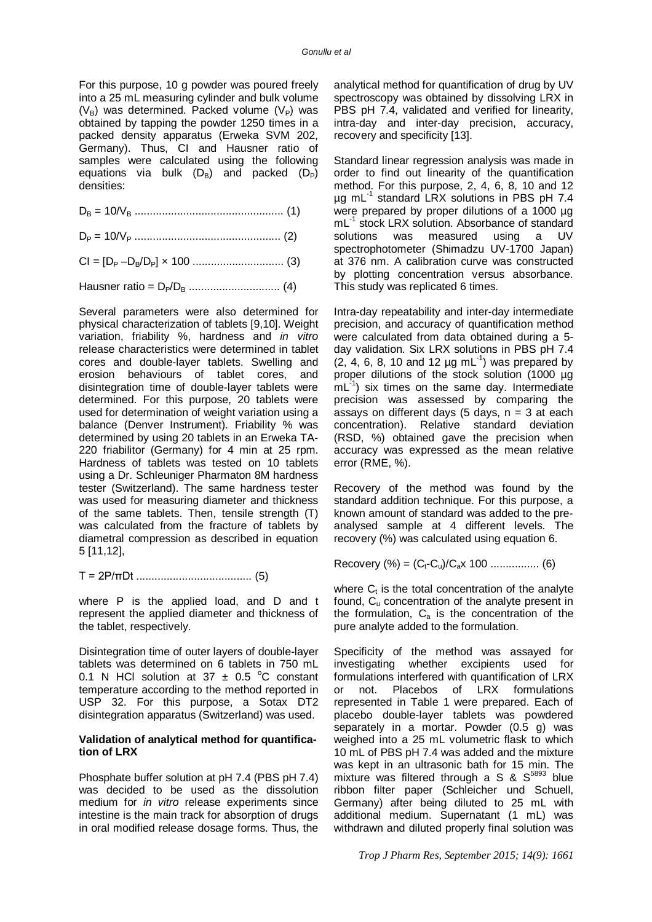For this purpose, 10 g powder was poured freely into a 25 mL measuring cylinder and bulk volume  $(V_{\rm B})$  was determined. Packed volume  $(V_{\rm P})$  was obtained by tapping the powder 1250 times in a packed density apparatus (Erweka SVM 202, Germany). Thus, CI and Hausner ratio of samples were calculated using the following equations via bulk  $(D_B)$  and packed  $(D_P)$ densities:

D<sup>B</sup> = 10/V<sup>B</sup> ................................................. (1)

D<sup>P</sup> = 10/V<sup>P</sup> ................................................ (2)

CI = [D<sup>P</sup> –DB/DP] × 100 .............................. (3)

Hausner ratio = DP/D<sup>B</sup> .............................. (4)

Several parameters were also determined for physical characterization of tablets [9,10]. Weight variation, friability %, hardness and *in vitro* release characteristics were determined in tablet cores and double-layer tablets. Swelling and erosion behaviours of tablet cores, and disintegration time of double-layer tablets were determined. For this purpose, 20 tablets were used for determination of weight variation using a balance (Denver Instrument). Friability % was determined by using 20 tablets in an Erweka TA-220 friabilitor (Germany) for 4 min at 25 rpm. Hardness of tablets was tested on 10 tablets using a Dr. Schleuniger Pharmaton 8M hardness tester (Switzerland). The same hardness tester was used for measuring diameter and thickness of the same tablets. Then, tensile strength (T) was calculated from the fracture of tablets by diametral compression as described in equation 5 [11,12],

T = 2P/πDt ...................................... (5)

where P is the applied load, and D and t represent the applied diameter and thickness of the tablet, respectively.

Disintegration time of outer layers of double-layer tablets was determined on 6 tablets in 750 mL 0.1 N HCl solution at 37  $\pm$  0.5 °C constant temperature according to the method reported in USP 32. For this purpose, a Sotax DT2 disintegration apparatus (Switzerland) was used.

#### **Validation of analytical method for quantification of LRX**

Phosphate buffer solution at pH 7.4 (PBS pH 7.4) was decided to be used as the dissolution medium for *in vitro* release experiments since intestine is the main track for absorption of drugs in oral modified release dosage forms. Thus, the

analytical method for quantification of drug by UV spectroscopy was obtained by dissolving LRX in PBS pH 7.4, validated and verified for linearity, intra-day and inter-day precision, accuracy, recovery and specificity [13].

Standard linear regression analysis was made in order to find out linearity of the quantification method. For this purpose, 2, 4, 6, 8, 10 and 12 µg mL-1 standard LRX solutions in PBS pH 7.4 were prepared by proper dilutions of a 1000 µg mL-1 stock LRX solution. Absorbance of standard solutions was measured using a UV spectrophotometer (Shimadzu UV-1700 Japan) at 376 nm. A calibration curve was constructed by plotting concentration versus absorbance. This study was replicated 6 times.

Intra-day repeatability and inter-day intermediate precision, and accuracy of quantification method were calculated from data obtained during a 5 day validation. Six LRX solutions in PBS pH 7.4  $(2, 4, 6, 8, 10 \text{ and } 12 \text{ µg mL}^{-1})$  was prepared by proper dilutions of the stock solution (1000 µg  $mL^{-1}$ ) six times on the same day. Intermediate precision was assessed by comparing the assays on different days (5 days,  $n = 3$  at each concentration). Relative standard deviation (RSD, %) obtained gave the precision when accuracy was expressed as the mean relative error (RME, %).

Recovery of the method was found by the standard addition technique. For this purpose, a known amount of standard was added to the preanalysed sample at 4 different levels. The recovery (%) was calculated using equation 6.

Recovery (%) = (Ct-Cu)/Cax 100 ................ (6)

where  $C_t$  is the total concentration of the analyte found,  $C_{u}$  concentration of the analyte present in the formulation,  $C_a$  is the concentration of the pure analyte added to the formulation.

Specificity of the method was assayed for investigating whether excipients used for formulations interfered with quantification of LRX or not. Placebos of LRX formulations represented in Table 1 were prepared. Each of placebo double-layer tablets was powdered separately in a mortar. Powder (0.5 g) was weighed into a 25 mL volumetric flask to which 10 mL of PBS pH 7.4 was added and the mixture was kept in an ultrasonic bath for 15 min. The mixture was filtered through a S  $\&$  S<sup>5893</sup> blue ribbon filter paper (Schleicher und Schuell, Germany) after being diluted to 25 mL with additional medium. Supernatant (1 mL) was withdrawn and diluted properly final solution was

*Trop J Pharm Res, September 2015; 14(9): 1661*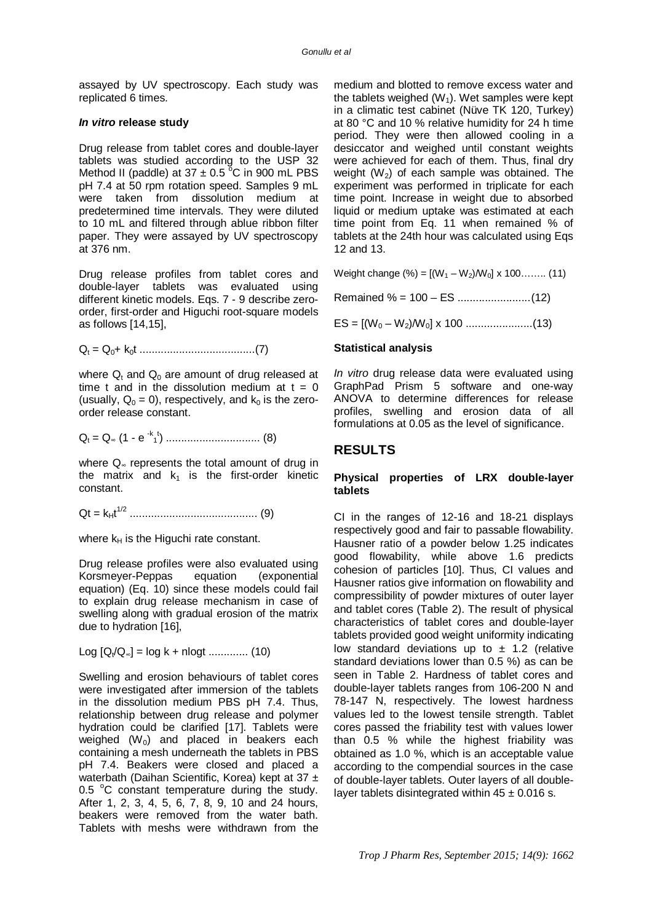assayed by UV spectroscopy. Each study was replicated 6 times.

#### *In vitro* **release study**

Drug release from tablet cores and double-layer tablets was studied according to the USP 32 Method II (paddle) at  $37 \pm 0.5$ <sup>o</sup>C in 900 mL PBS pH 7.4 at 50 rpm rotation speed. Samples 9 mL were taken from dissolution medium at predetermined time intervals. They were diluted to 10 mL and filtered through ablue ribbon filter paper. They were assayed by UV spectroscopy at 376 nm.

Drug release profiles from tablet cores and double-layer tablets was evaluated using different kinetic models. Eqs. 7 - 9 describe zeroorder, first-order and Higuchi root-square models as follows [14,15],

Q<sup>t</sup> = Q0+ k0t ......................................(7)

where  $Q_t$  and  $Q_0$  are amount of drug released at time t and in the dissolution medium at  $t = 0$ (usually,  $Q_0 = 0$ ), respectively, and  $k_0$  is the zeroorder release constant.

$$
Q_t = Q_{\infty} (1 - e^{-k} t) \dots (8)
$$

where Q∞ represents the total amount of drug in the matrix and  $k_1$  is the first-order kinetic constant.

Qt = kHt 1/2 .......................................... (9)

where  $k_H$  is the Higuchi rate constant.

Drug release profiles were also evaluated using Korsmeyer-Peppas equation (exponential equation) (Eq. 10) since these models could fail to explain drug release mechanism in case of swelling along with gradual erosion of the matrix due to hydration [16],

Log [Q<sub>t</sub>/Q<sub>∞</sub>] = log k + nlogt ............. (10)

Swelling and erosion behaviours of tablet cores were investigated after immersion of the tablets in the dissolution medium PBS pH 7.4. Thus, relationship between drug release and polymer hydration could be clarified [17]. Tablets were weighed  $(W_0)$  and placed in beakers each containing a mesh underneath the tablets in PBS pH 7.4. Beakers were closed and placed a waterbath (Daihan Scientific, Korea) kept at 37 ± 0.5  $^{\circ}$ C constant temperature during the study. After 1, 2, 3, 4, 5, 6, 7, 8, 9, 10 and 24 hours, beakers were removed from the water bath. Tablets with meshs were withdrawn from the

medium and blotted to remove excess water and the tablets weighed  $(W_1)$ . Wet samples were kept in a climatic test cabinet (Nüve TK 120, Turkey) at 80 °C and 10 % relative humidity for 24 h time period. They were then allowed cooling in a desiccator and weighed until constant weights were achieved for each of them. Thus, final dry weight  $(W_2)$  of each sample was obtained. The experiment was performed in triplicate for each time point. Increase in weight due to absorbed liquid or medium uptake was estimated at each time point from Eq. 11 when remained % of tablets at the 24th hour was calculated using Eqs 12 and 13.

Weight change (%) =  $[(W_1-W_2)/W_0] \times 100$ …….. (11)

Remained % = 100 – ES ........................(12)

ES = [(W<sup>0</sup> – W2)/W0] x 100 ......................(13)

#### **Statistical analysis**

*In vitro* drug release data were evaluated using GraphPad Prism 5 software and one-way ANOVA to determine differences for release profiles, swelling and erosion data of all formulations at 0.05 as the level of significance.

## **RESULTS**

#### **Physical properties of LRX double-layer tablets**

CI in the ranges of 12-16 and 18-21 displays respectively good and fair to passable flowability. Hausner ratio of a powder below 1.25 indicates good flowability, while above 1.6 predicts cohesion of particles [10]. Thus, CI values and Hausner ratios give information on flowability and compressibility of powder mixtures of outer layer and tablet cores (Table 2). The result of physical characteristics of tablet cores and double-layer tablets provided good weight uniformity indicating low standard deviations up to  $\pm$  1.2 (relative standard deviations lower than 0.5 %) as can be seen in Table 2. Hardness of tablet cores and double-layer tablets ranges from 106-200 N and 78-147 N, respectively. The lowest hardness values led to the lowest tensile strength. Tablet cores passed the friability test with values lower than 0.5 % while the highest friability was obtained as 1.0 %, which is an acceptable value according to the compendial sources in the case of double-layer tablets. Outer layers of all doublelayer tablets disintegrated within  $45 \pm 0.016$  s.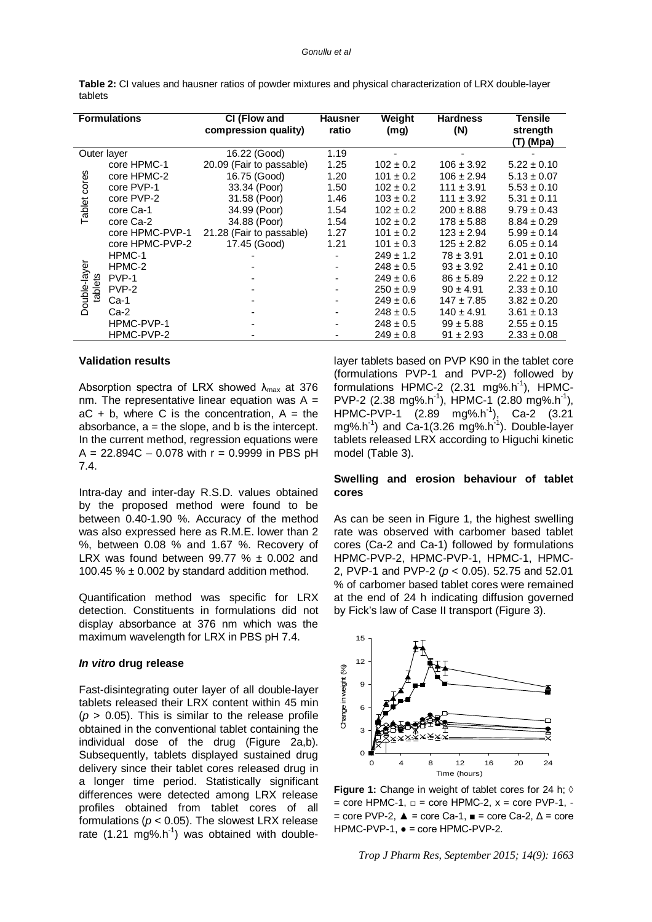|         | Table 2: CI values and hausner ratios of powder mixtures and physical characterization of LRX double-layer |  |
|---------|------------------------------------------------------------------------------------------------------------|--|
| tablets |                                                                                                            |  |

| <b>Formulations</b>    |                 | CI (Flow and<br>compression quality) | <b>Hausner</b><br>ratio | Weight<br>(mg) | <b>Hardness</b><br>(N) | <b>Tensile</b><br>strength<br>(T) (Mpa) |
|------------------------|-----------------|--------------------------------------|-------------------------|----------------|------------------------|-----------------------------------------|
| Outer layer            |                 | 16.22 (Good)                         | 1.19                    |                |                        |                                         |
|                        | core HPMC-1     | 20.09 (Fair to passable)             | 1.25                    | $102 \pm 0.2$  | $106 \pm 3.92$         | $5.22 \pm 0.10$                         |
|                        | core HPMC-2     | 16.75 (Good)                         | 1.20                    | $101 \pm 0.2$  | $106 \pm 2.94$         | $5.13 \pm 0.07$                         |
| cores                  | core PVP-1      | 33.34 (Poor)                         | 1.50                    | $102 \pm 0.2$  | $111 \pm 3.91$         | $5.53 \pm 0.10$                         |
|                        | core PVP-2      | 31.58 (Poor)                         | 1.46                    | $103 \pm 0.2$  | $111 \pm 3.92$         | $5.31 \pm 0.11$                         |
| Tablet<br>Double-layer | core Ca-1       | 34.99 (Poor)                         | 1.54                    | $102 \pm 0.2$  | $200 \pm 8.88$         | $9.79 \pm 0.43$                         |
|                        | core Ca-2       | 34.88 (Poor)                         | 1.54                    | $102 \pm 0.2$  | $178 \pm 5.88$         | $8.84 \pm 0.29$                         |
|                        | core HPMC-PVP-1 | 21.28 (Fair to passable)             | 1.27                    | $101 \pm 0.2$  | $123 \pm 2.94$         | $5.99 \pm 0.14$                         |
|                        | core HPMC-PVP-2 | 17.45 (Good)                         | 1.21                    | $101 \pm 0.3$  | $125 \pm 2.82$         | $6.05 \pm 0.14$                         |
|                        | HPMC-1          |                                      |                         | $249 \pm 1.2$  | $78 \pm 3.91$          | $2.01 \pm 0.10$                         |
|                        | HPMC-2          |                                      |                         | $248 \pm 0.5$  | $93 \pm 3.92$          | $2.41 \pm 0.10$                         |
|                        | PVP-1           |                                      |                         | $249 \pm 0.6$  | $86 \pm 5.89$          | $2.22 \pm 0.12$                         |
| tablets                | PVP-2           |                                      |                         | $250 \pm 0.9$  | $90 \pm 4.91$          | $2.33 \pm 0.10$                         |
|                        | Ca-1            |                                      |                         | $249 \pm 0.6$  | $147 \pm 7.85$         | $3.82 \pm 0.20$                         |
|                        | Ca-2            |                                      |                         | $248 \pm 0.5$  | $140 \pm 4.91$         | $3.61 \pm 0.13$                         |
|                        | HPMC-PVP-1      |                                      |                         | $248 \pm 0.5$  | $99 \pm 5.88$          | $2.55 \pm 0.15$                         |
|                        | HPMC-PVP-2      |                                      |                         | $249 \pm 0.8$  | $91 \pm 2.93$          | $2.33 \pm 0.08$                         |

#### **Validation results**

Absorption spectra of LRX showed  $\lambda_{\text{max}}$  at 376 nm. The representative linear equation was  $A =$  $aC + b$ , where C is the concentration,  $A = the$ absorbance,  $a =$  the slope, and b is the intercept. In the current method, regression equations were  $A = 22.894C - 0.078$  with  $r = 0.9999$  in PBS pH 7.4.

Intra-day and inter-day R.S.D. values obtained by the proposed method were found to be between 0.40-1.90 %. Accuracy of the method was also expressed here as R.M.E. lower than 2 %, between 0.08 % and 1.67 %. Recovery of LRX was found between 99.77  $% \pm 0.002$  and 100.45  $% \pm 0.002$  by standard addition method.

Quantification method was specific for LRX detection. Constituents in formulations did not display absorbance at 376 nm which was the maximum wavelength for LRX in PBS pH 7.4.

#### *In vitro* **drug release**

Fast-disintegrating outer layer of all double-layer tablets released their LRX content within 45 min  $(p > 0.05)$ . This is similar to the release profile obtained in the conventional tablet containing the individual dose of the drug (Figure 2a,b). Subsequently, tablets displayed sustained drug delivery since their tablet cores released drug in a longer time period. Statistically significant differences were detected among LRX release profiles obtained from tablet cores of all formulations ( $p < 0.05$ ). The slowest LRX release rate  $(1.21 \text{ mg}\%.\text{h}^{-1})$  was obtained with doublelayer tablets based on PVP K90 in the tablet core (formulations PVP-1 and PVP-2) followed by formulations HPMC-2  $(2.31 \text{ mg\%}.h^1)$ , HPMC-PVP-2 (2.38 mg%.h<sup>-1</sup>), HPMC-1 (2.80 mg%.h<sup>-1</sup>), HPMC-PVP-1 (2.89 mg%.h-1 ), Ca-2 (3.21 mg%.h<sup>-1</sup>) and Ca-1(3.26 mg%.h<sup>-1</sup>). Double-layer tablets released LRX according to Higuchi kinetic model (Table 3).

#### **Swelling and erosion behaviour of tablet cores**

As can be seen in Figure 1, the highest swelling rate was observed with carbomer based tablet cores (Ca-2 and Ca-1) followed by formulations HPMC-PVP-2, HPMC-PVP-1, HPMC-1, HPMC-2, PVP-1 and PVP-2 (*p* < 0.05). 52.75 and 52.01 % of carbomer based tablet cores were remained at the end of 24 h indicating diffusion governed by Fick's law of Case II transport (Figure 3).



**Figure 1:** Change in weight of tablet cores for 24 h; ◊  $=$  core HPMC-1,  $\Box$  = core HPMC-2,  $x =$  core PVP-1, - $=$  core PVP-2,  $\triangle =$  core Ca-1,  $\equiv$  = core Ca-2,  $\triangle =$  core HPMC-PVP-1, ● = core HPMC-PVP-2.

*Trop J Pharm Res, September 2015; 14(9): 1663*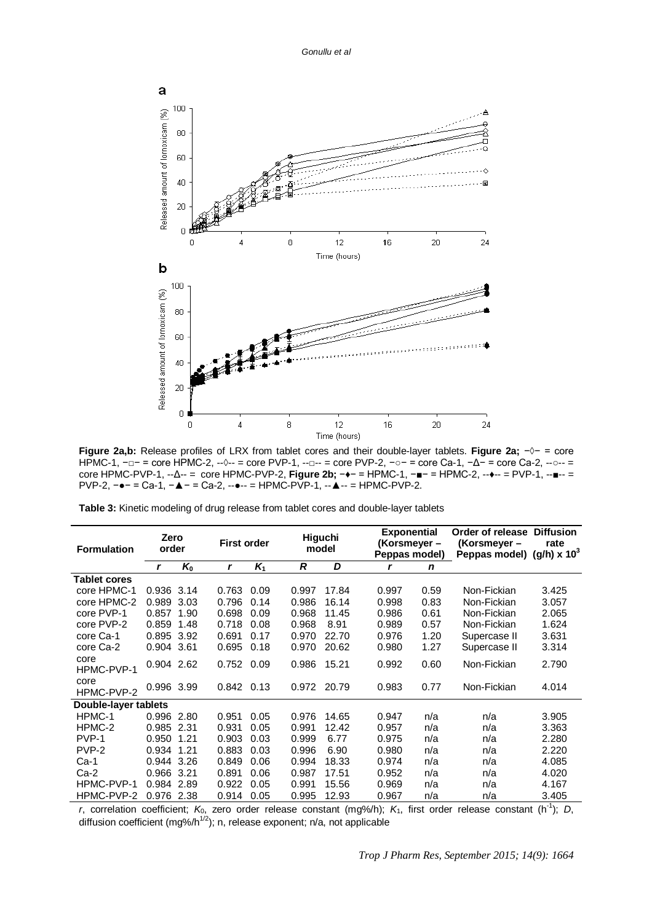

**Figure 2a,b:** Release profiles of LRX from tablet cores and their double-layer tablets. **Figure 2a;** −◊− = core HPMC-1, -□- = core HPMC-2, --◊-- = core PVP-1, --□-- = core PVP-2, -○- = core Ca-1, -∆- = core Ca-2, --○-- = core HPMC-PVP-1, --Δ-- = core HPMC-PVP-2, **Figure 2b;** −♦− = HPMC-1, −■− = HPMC-2, --♦-- = PVP-1, --■-- = PVP-2, −●− = Ca-1, −▲− = Ca-2, --●-- = HPMC-PVP-1, --▲-- = HPMC-PVP-2.

|  |  | <b>Table 3:</b> Kinetic modeling of drug release from tablet cores and double-layer tablets |
|--|--|---------------------------------------------------------------------------------------------|
|--|--|---------------------------------------------------------------------------------------------|

| <b>Formulation</b>   | Zero<br>order |       |              | <b>First order</b> |             | Higuchi<br>model |  | <b>Exponential</b><br>(Korsmeyer –<br>Peppas model) |             | Order of release<br>(Korsmeyer -<br>Peppas model) (g/h) $\times$ 10 <sup>3</sup> | <b>Diffusion</b><br>rate |
|----------------------|---------------|-------|--------------|--------------------|-------------|------------------|--|-----------------------------------------------------|-------------|----------------------------------------------------------------------------------|--------------------------|
|                      | r             | $K_0$ | $\mathbf{r}$ | $K_1$              | R           | D                |  | r                                                   | $\mathbf n$ |                                                                                  |                          |
| Tablet cores         |               |       |              |                    |             |                  |  |                                                     |             |                                                                                  |                          |
| core HPMC-1          | 0.936 3.14    |       | 0.763        | 0.09               | 0.997       | 17.84            |  | 0.997                                               | 0.59        | Non-Fickian                                                                      | 3.425                    |
| core HPMC-2          | 0.989         | 3.03  | 0.796        | 0.14               | 0.986       | 16.14            |  | 0.998                                               | 0.83        | Non-Fickian                                                                      | 3.057                    |
| core PVP-1           | 0.857         | 1.90  | 0.698        | 0.09               | 0.968       | 11.45            |  | 0.986                                               | 0.61        | Non-Fickian                                                                      | 2.065                    |
| core PVP-2           | 0.859         | 1.48  | 0.718        | 0.08               | 0.968       | 8.91             |  | 0.989                                               | 0.57        | Non-Fickian                                                                      | 1.624                    |
| core Ca-1            | 0.895         | 3.92  | 0.691        | 0.17               | 0.970       | 22.70            |  | 0.976                                               | 1.20        | Supercase II                                                                     | 3.631                    |
| core Ca-2            | 0.904 3.61    |       | 0.695        | 0.18               | 0.970       | 20.62            |  | 0.980                                               | 1.27        | Supercase II                                                                     | 3.314                    |
| core<br>HPMC-PVP-1   | 0.904 2.62    |       | 0.752        | 0.09               | 0.986       | 15.21            |  | 0.992                                               | 0.60        | Non-Fickian                                                                      | 2.790                    |
| core<br>HPMC-PVP-2   | 0.996 3.99    |       | 0.842 0.13   |                    | 0.972 20.79 |                  |  | 0.983                                               | 0.77        | Non-Fickian                                                                      | 4.014                    |
| Double-layer tablets |               |       |              |                    |             |                  |  |                                                     |             |                                                                                  |                          |
| HPMC-1               | 0.996 2.80    |       | 0.951        | 0.05               | 0.976       | 14.65            |  | 0.947                                               | n/a         | n/a                                                                              | 3.905                    |
| HPMC-2               | 0.985 2.31    |       | 0.931        | 0.05               | 0.991       | 12.42            |  | 0.957                                               | n/a         | n/a                                                                              | 3.363                    |
| PVP-1                | 0.950         | 1.21  | 0.903        | 0.03               | 0.999       | 6.77             |  | 0.975                                               | n/a         | n/a                                                                              | 2.280                    |
| PVP-2                | 0.934         | 1.21  | 0.883        | 0.03               | 0.996       | 6.90             |  | 0.980                                               | n/a         | n/a                                                                              | 2.220                    |
| $Ca-1$               | 0.944         | 3.26  | 0.849        | 0.06               | 0.994       | 18.33            |  | 0.974                                               | n/a         | n/a                                                                              | 4.085                    |
| $Ca-2$               | 0.966         | 3.21  | 0.891        | 0.06               | 0.987       | 17.51            |  | 0.952                                               | n/a         | n/a                                                                              | 4.020                    |
| HPMC-PVP-1           | 0.984         | 2.89  | 0.922        | 0.05               | 0.991       | 15.56            |  | 0.969                                               | n/a         | n/a                                                                              | 4.167                    |
| HPMC-PVP-2           | 0.976 2.38    |       | 0.914        | 0.05               | 0.995       | 12.93            |  | 0.967                                               | n/a         | n/a                                                                              | 3.405                    |

*r*, correlation coefficient; *K*0, zero order release constant (mg%/h); *K*1, first order release constant (h-1 ); *D*, diffusion coefficient (mg%/h<sup>1/2</sup>); n, release exponent; n/a, not applicable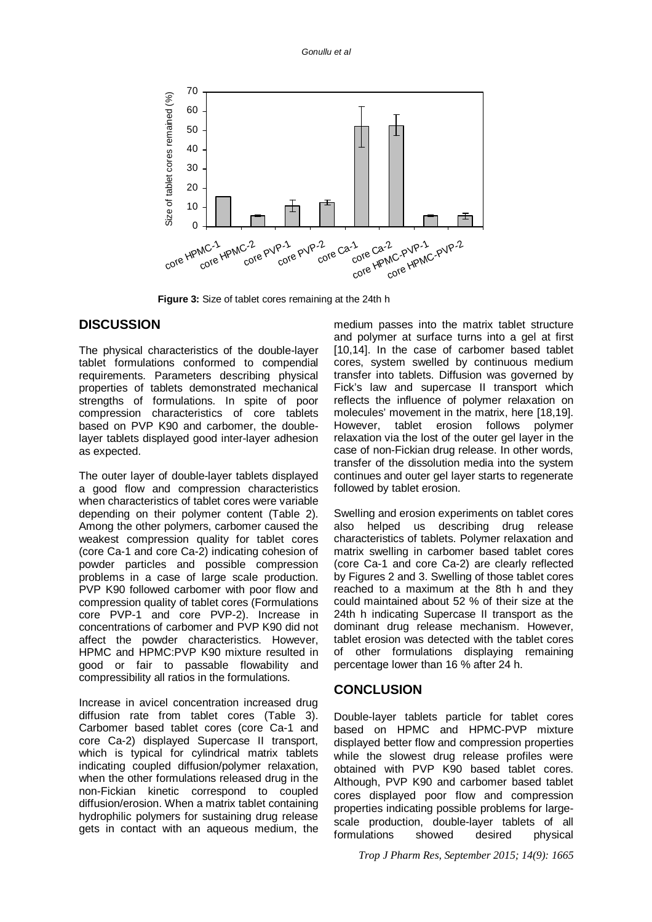

**Figure 3:** Size of tablet cores remaining at the 24th h

### **DISCUSSION**

The physical characteristics of the double-layer tablet formulations conformed to compendial requirements. Parameters describing physical properties of tablets demonstrated mechanical strengths of formulations. In spite of poor compression characteristics of core tablets based on PVP K90 and carbomer, the doublelayer tablets displayed good inter-layer adhesion as expected.

The outer layer of double-layer tablets displayed a good flow and compression characteristics when characteristics of tablet cores were variable depending on their polymer content (Table 2). Among the other polymers, carbomer caused the weakest compression quality for tablet cores (core Ca-1 and core Ca-2) indicating cohesion of powder particles and possible compression problems in a case of large scale production. PVP K90 followed carbomer with poor flow and compression quality of tablet cores (Formulations core PVP-1 and core PVP-2). Increase in concentrations of carbomer and PVP K90 did not affect the powder characteristics. However, HPMC and HPMC:PVP K90 mixture resulted in good or fair to passable flowability and compressibility all ratios in the formulations.

Increase in avicel concentration increased drug diffusion rate from tablet cores (Table 3). Carbomer based tablet cores (core Ca-1 and core Ca-2) displayed Supercase II transport, which is typical for cylindrical matrix tablets indicating coupled diffusion/polymer relaxation, when the other formulations released drug in the non-Fickian kinetic correspond to coupled diffusion/erosion. When a matrix tablet containing hydrophilic polymers for sustaining drug release gets in contact with an aqueous medium, the

medium passes into the matrix tablet structure and polymer at surface turns into a gel at first [10,14]. In the case of carbomer based tablet cores, system swelled by continuous medium transfer into tablets. Diffusion was governed by Fick's law and supercase II transport which reflects the influence of polymer relaxation on molecules' movement in the matrix, here [18,19]. However, tablet erosion follows polymer relaxation via the lost of the outer gel layer in the case of non-Fickian drug release. In other words, transfer of the dissolution media into the system continues and outer gel layer starts to regenerate followed by tablet erosion.

Swelling and erosion experiments on tablet cores also helped us describing drug release characteristics of tablets. Polymer relaxation and matrix swelling in carbomer based tablet cores (core Ca-1 and core Ca-2) are clearly reflected by Figures 2 and 3. Swelling of those tablet cores reached to a maximum at the 8th h and they could maintained about 52 % of their size at the 24th h indicating Supercase II transport as the dominant drug release mechanism. However, tablet erosion was detected with the tablet cores of other formulations displaying remaining percentage lower than 16 % after 24 h.

#### **CONCLUSION**

Double-layer tablets particle for tablet cores based on HPMC and HPMC-PVP mixture displayed better flow and compression properties while the slowest drug release profiles were obtained with PVP K90 based tablet cores. Although, PVP K90 and carbomer based tablet cores displayed poor flow and compression properties indicating possible problems for largescale production, double-layer tablets of all formulations showed desired physical

*Trop J Pharm Res, September 2015; 14(9): 1665*